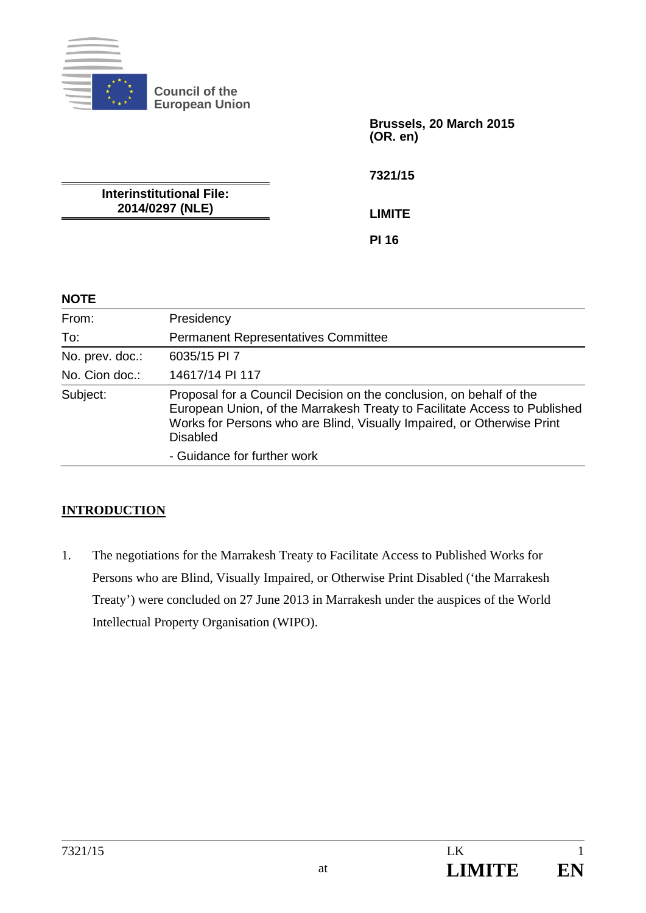

**Council of the European Union** 

> **Brussels, 20 March 2015 (OR. en)**

**7321/15** 

**Interinstitutional File: 2014/0297 (NLE)** 

**LIMITE** 

**PI 16** 

## **NOTE**

| From:           | Presidency                                                                                                                                                                                                                                    |
|-----------------|-----------------------------------------------------------------------------------------------------------------------------------------------------------------------------------------------------------------------------------------------|
| To:             | <b>Permanent Representatives Committee</b>                                                                                                                                                                                                    |
| No. prev. doc.: | 6035/15 PI 7                                                                                                                                                                                                                                  |
| No. Cion doc.:  | 14617/14 PI 117                                                                                                                                                                                                                               |
| Subject:        | Proposal for a Council Decision on the conclusion, on behalf of the<br>European Union, of the Marrakesh Treaty to Facilitate Access to Published<br>Works for Persons who are Blind, Visually Impaired, or Otherwise Print<br><b>Disabled</b> |
|                 | - Guidance for further work                                                                                                                                                                                                                   |

## **INTRODUCTION**

1. The negotiations for the Marrakesh Treaty to Facilitate Access to Published Works for Persons who are Blind, Visually Impaired, or Otherwise Print Disabled ('the Marrakesh Treaty') were concluded on 27 June 2013 in Marrakesh under the auspices of the World Intellectual Property Organisation (WIPO).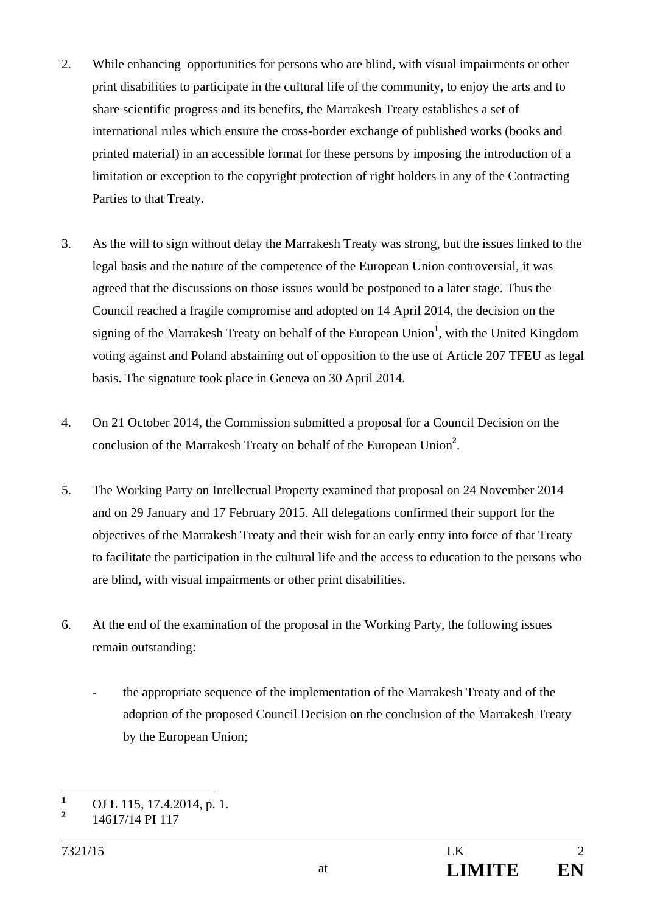- 2. While enhancing opportunities for persons who are blind, with visual impairments or other print disabilities to participate in the cultural life of the community, to enjoy the arts and to share scientific progress and its benefits, the Marrakesh Treaty establishes a set of international rules which ensure the cross-border exchange of published works (books and printed material) in an accessible format for these persons by imposing the introduction of a limitation or exception to the copyright protection of right holders in any of the Contracting Parties to that Treaty.
- 3. As the will to sign without delay the Marrakesh Treaty was strong, but the issues linked to the legal basis and the nature of the competence of the European Union controversial, it was agreed that the discussions on those issues would be postponed to a later stage. Thus the Council reached a fragile compromise and adopted on 14 April 2014, the decision on the signing of the Marrakesh Treaty on behalf of the European Union**<sup>1</sup>** , with the United Kingdom voting against and Poland abstaining out of opposition to the use of Article 207 TFEU as legal basis. The signature took place in Geneva on 30 April 2014.
- 4. On 21 October 2014, the Commission submitted a proposal for a Council Decision on the conclusion of the Marrakesh Treaty on behalf of the European Union**<sup>2</sup>** .
- 5. The Working Party on Intellectual Property examined that proposal on 24 November 2014 and on 29 January and 17 February 2015. All delegations confirmed their support for the objectives of the Marrakesh Treaty and their wish for an early entry into force of that Treaty to facilitate the participation in the cultural life and the access to education to the persons who are blind, with visual impairments or other print disabilities.
- 6. At the end of the examination of the proposal in the Working Party, the following issues remain outstanding:
	- the appropriate sequence of the implementation of the Marrakesh Treaty and of the adoption of the proposed Council Decision on the conclusion of the Marrakesh Treaty by the European Union;

 **1** OJ L 115, 17.4.2014, p. 1.

**<sup>2</sup>** 14617/14 PI 117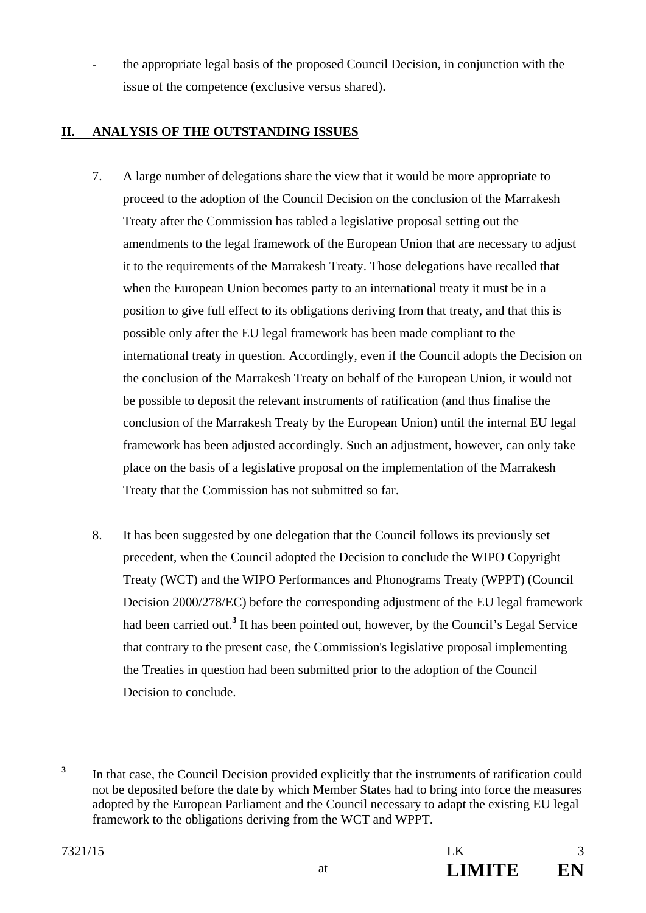the appropriate legal basis of the proposed Council Decision, in conjunction with the issue of the competence (exclusive versus shared).

## **II. ANALYSIS OF THE OUTSTANDING ISSUES**

- 7. A large number of delegations share the view that it would be more appropriate to proceed to the adoption of the Council Decision on the conclusion of the Marrakesh Treaty after the Commission has tabled a legislative proposal setting out the amendments to the legal framework of the European Union that are necessary to adjust it to the requirements of the Marrakesh Treaty. Those delegations have recalled that when the European Union becomes party to an international treaty it must be in a position to give full effect to its obligations deriving from that treaty, and that this is possible only after the EU legal framework has been made compliant to the international treaty in question. Accordingly, even if the Council adopts the Decision on the conclusion of the Marrakesh Treaty on behalf of the European Union, it would not be possible to deposit the relevant instruments of ratification (and thus finalise the conclusion of the Marrakesh Treaty by the European Union) until the internal EU legal framework has been adjusted accordingly. Such an adjustment, however, can only take place on the basis of a legislative proposal on the implementation of the Marrakesh Treaty that the Commission has not submitted so far.
- 8. It has been suggested by one delegation that the Council follows its previously set precedent, when the Council adopted the Decision to conclude the WIPO Copyright Treaty (WCT) and the WIPO Performances and Phonograms Treaty (WPPT) (Council Decision 2000/278/EC) before the corresponding adjustment of the EU legal framework had been carried out.<sup>3</sup> It has been pointed out, however, by the Council's Legal Service that contrary to the present case, the Commission's legislative proposal implementing the Treaties in question had been submitted prior to the adoption of the Council Decision to conclude.

 **3** In that case, the Council Decision provided explicitly that the instruments of ratification could not be deposited before the date by which Member States had to bring into force the measures adopted by the European Parliament and the Council necessary to adapt the existing EU legal framework to the obligations deriving from the WCT and WPPT.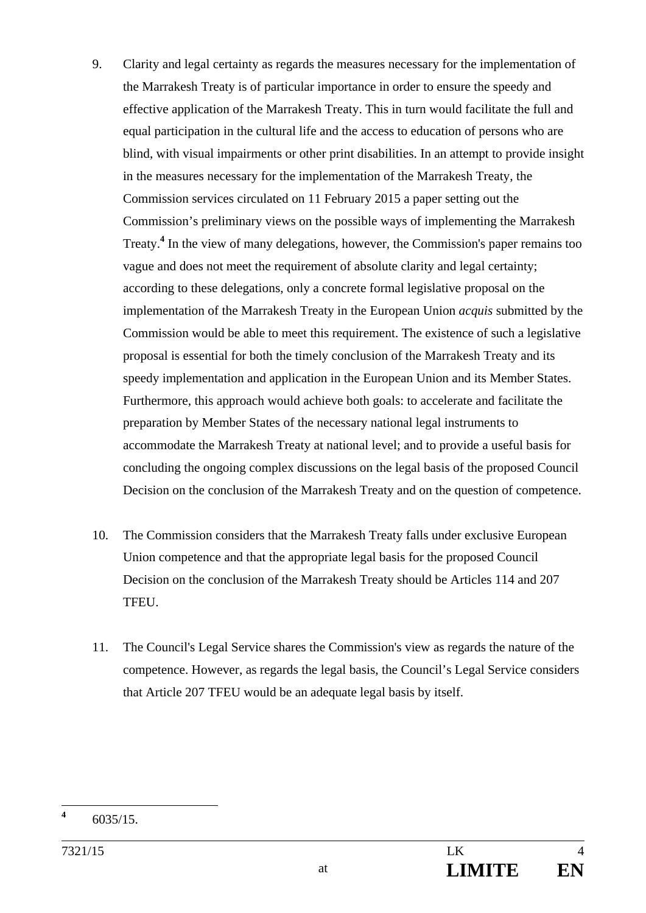- 9. Clarity and legal certainty as regards the measures necessary for the implementation of the Marrakesh Treaty is of particular importance in order to ensure the speedy and effective application of the Marrakesh Treaty. This in turn would facilitate the full and equal participation in the cultural life and the access to education of persons who are blind, with visual impairments or other print disabilities. In an attempt to provide insight in the measures necessary for the implementation of the Marrakesh Treaty, the Commission services circulated on 11 February 2015 a paper setting out the Commission's preliminary views on the possible ways of implementing the Marrakesh Treaty.**<sup>4</sup>** In the view of many delegations, however, the Commission's paper remains too vague and does not meet the requirement of absolute clarity and legal certainty; according to these delegations, only a concrete formal legislative proposal on the implementation of the Marrakesh Treaty in the European Union *acquis* submitted by the Commission would be able to meet this requirement. The existence of such a legislative proposal is essential for both the timely conclusion of the Marrakesh Treaty and its speedy implementation and application in the European Union and its Member States. Furthermore, this approach would achieve both goals: to accelerate and facilitate the preparation by Member States of the necessary national legal instruments to accommodate the Marrakesh Treaty at national level; and to provide a useful basis for concluding the ongoing complex discussions on the legal basis of the proposed Council Decision on the conclusion of the Marrakesh Treaty and on the question of competence.
- 10. The Commission considers that the Marrakesh Treaty falls under exclusive European Union competence and that the appropriate legal basis for the proposed Council Decision on the conclusion of the Marrakesh Treaty should be Articles 114 and 207 TFEU.
- 11. The Council's Legal Service shares the Commission's view as regards the nature of the competence. However, as regards the legal basis, the Council's Legal Service considers that Article 207 TFEU would be an adequate legal basis by itself.

 **4** 6035/15.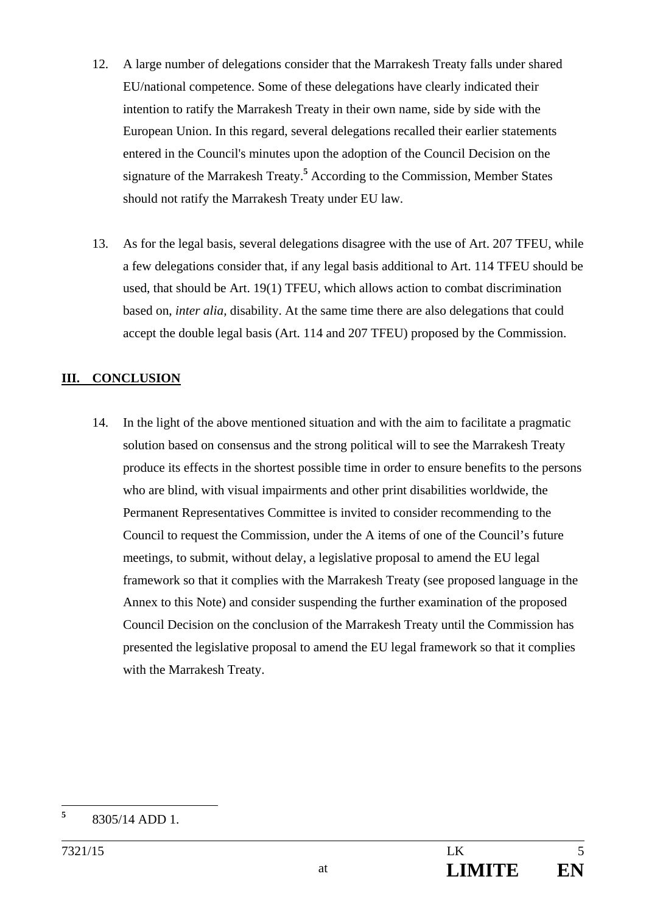- 12. A large number of delegations consider that the Marrakesh Treaty falls under shared EU/national competence. Some of these delegations have clearly indicated their intention to ratify the Marrakesh Treaty in their own name, side by side with the European Union. In this regard, several delegations recalled their earlier statements entered in the Council's minutes upon the adoption of the Council Decision on the signature of the Marrakesh Treaty.**<sup>5</sup>** According to the Commission, Member States should not ratify the Marrakesh Treaty under EU law.
- 13. As for the legal basis, several delegations disagree with the use of Art. 207 TFEU, while a few delegations consider that, if any legal basis additional to Art. 114 TFEU should be used, that should be Art. 19(1) TFEU, which allows action to combat discrimination based on, *inter alia,* disability. At the same time there are also delegations that could accept the double legal basis (Art. 114 and 207 TFEU) proposed by the Commission.

## **III. CONCLUSION**

14. In the light of the above mentioned situation and with the aim to facilitate a pragmatic solution based on consensus and the strong political will to see the Marrakesh Treaty produce its effects in the shortest possible time in order to ensure benefits to the persons who are blind, with visual impairments and other print disabilities worldwide, the Permanent Representatives Committee is invited to consider recommending to the Council to request the Commission, under the A items of one of the Council's future meetings, to submit, without delay, a legislative proposal to amend the EU legal framework so that it complies with the Marrakesh Treaty (see proposed language in the Annex to this Note) and consider suspending the further examination of the proposed Council Decision on the conclusion of the Marrakesh Treaty until the Commission has presented the legislative proposal to amend the EU legal framework so that it complies with the Marrakesh Treaty.

 **5** 8305/14 ADD 1.